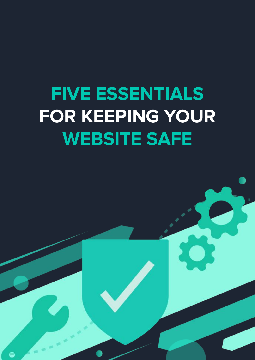### **FIVE ESSENTIALS FOR KEEPING YOUR WEBSITE SAFE**

 $\bullet$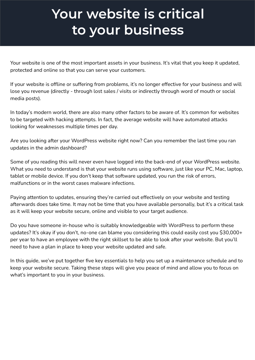#### **Your website is critical to your business**

Your website is one of the most important assets in your business. It's vital that you keep it updated, protected and online so that you can serve your customers.

If your website is offline or suffering from problems, it's no longer effective for your business and will lose you revenue (directly - through lost sales / visits or indirectly through word of mouth or social media posts).

In today's modern world, there are also many other factors to be aware of. It's common for websites to be targeted with hacking attempts. In fact, the average website will have automated attacks looking for weaknesses multiple times per day.

Are you looking after your WordPress website right now? Can you remember the last time you ran updates in the admin dashboard?

Some of you reading this will never even have logged into the back-end of your WordPress website. What you need to understand is that your website runs using software, just like your PC, Mac, laptop, tablet or mobile device. If you don't keep that software updated, you run the risk of errors, malfunctions or in the worst cases malware infections.

Paying attention to updates, ensuring they're carried out effectively on your website and testing afterwards does take time. It may not be time that you have available personally, but it's a critical task as it will keep your website secure, online and visible to your target audience.

Do you have someone in-house who is suitably knowledgeable with WordPress to perform these updates? It's okay if you don't, no-one can blame you considering this could easily cost you \$30,000+ per year to have an employee with the right skillset to be able to look after your website. But you'll need to have a plan in place to keep your website updated and safe.

In this guide, we've put together five key essentials to help you set up a maintenance schedule and to keep your website secure. Taking these steps will give you peace of mind and allow you to focus on what's important to you in your business.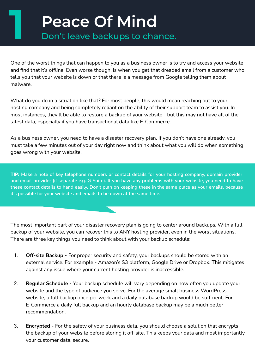## **Peace Of Mind**<br>**Don't leave backups to chance.**

One of the worst things that can happen to you as a business owner is to try and access your website and find that it's offline. Even worse though, is when you get that dreaded email from a customer who tells you that your website is down or that there is a message from Google telling them about malware.

What do you do in a situation like that? For most people, this would mean reaching out to your hosting company and being completely reliant on the ability of their support team to assist you. In most instances, they'll be able to restore a backup of your website - but this may not have all of the latest data, especially if you have transactional data like E-Commerce.

As a business owner, you need to have a disaster recovery plan. If you don't have one already, you must take a few minutes out of your day right now and think about what you will do when something goes wrong with your website.

**TIP: Make a note of key telephone numbers or contact details for your hosting company, domain provider and email provider (if separate e.g. G Suite). If you have any problems with your website, you need to have these contact details to hand easily. Don't plan on keeping these in the same place as your emails, because it's possible for your website and emails to be down at the same time.**

The most important part of your disaster recovery plan is going to center around backups. With a full backup of your website, you can recover this to ANY hosting provider, even in the worst situations. There are three key things you need to think about with your backup schedule:

- 1. **Off-site Backup** For proper security and safety, your backups should be stored with an external service. For example - Amazon's S3 platform, Google Drive or Dropbox. This mitigates against any issue where your current hosting provider is inaccessible.
- 2. **Regular Schedule** Your backup schedule will vary depending on how often you update your website and the type of audience you serve. For the average small business WordPress website, a full backup once per week and a daily database backup would be sufficient. For E-Commerce a daily full backup and an hourly database backup may be a much better recommendation.
- 3. **Encrypted** For the safety of your business data, you should choose a solution that encrypts the backup of your website before storing it off-site. This keeps your data and most importantly your customer data, secure.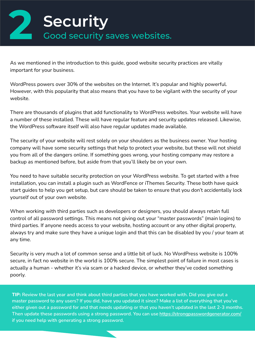

As we mentioned in the introduction to this guide, good website security practices are vitally important for your business.

WordPress powers over 30% of the websites on the Internet. It's popular and highly powerful. However, with this popularity that also means that you have to be vigilant with the security of your website.

There are thousands of plugins that add functionality to WordPress websites. Your website will have a number of these installed. These will have regular feature and security updates released. Likewise, the WordPress software itself will also have regular updates made available.

The security of your website will rest solely on your shoulders as the business owner. Your hosting company will have some security settings that help to protect your website, but these will not shield you from all of the dangers online. If something goes wrong, your hosting company may restore a backup as mentioned before, but aside from that you'll likely be on your own.

You need to have suitable security protection on your WordPress website. To get started with a free installation, you can install a plugin such as WordFence or iThemes Security. These both have quick start guides to help you get setup, but care should be taken to ensure that you don't accidentally lock yourself out of your own website.

When working with third parties such as developers or designers, you should always retain full control of all password settings. This means not giving out your "master passwords" (main logins) to third parties. If anyone needs access to your website, hosting account or any other digital property, always try and make sure they have a unique login and that this can be disabled by you / your team at any time.

Security is very much a lot of common sense and a little bit of luck. No WordPress website is 100% secure, in fact no website in the world is 100% secure. The simplest point of failure in most cases is actually a human - whether it's via scam or a hacked device, or whether they've coded something poorly.

**TIP: Review the last year and think about third parties that you have worked with. Did you give out a master password to any users? If you did, have you updated it since? Make a list of everything that you've either given out a password for and that needs updating or that you haven't updated in the last 2-3 months. Then update these passwords using a strong password. You can use<https://strongpasswordgenerator.com/> if you need help with generating a strong password.**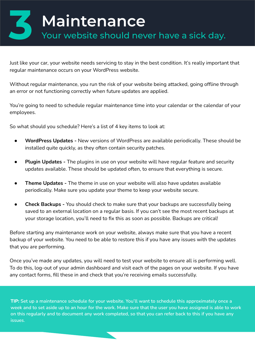#### **3 Maintenance** Your website should never have a sick day.

Just like your car, your website needs servicing to stay in the best condition. It's really important that regular maintenance occurs on your WordPress website.

Without regular maintenance, you run the risk of your website being attacked, going offline through an error or not functioning correctly when future updates are applied.

You're going to need to schedule regular maintenance time into your calendar or the calendar of your employees.

So what should you schedule? Here's a list of 4 key items to look at:

- **WordPress Updates -** New versions of WordPress are available periodically. These should be installed quite quickly, as they often contain security patches.
- **Plugin Updates -** The plugins in use on your website will have regular feature and security updates available. These should be updated often, to ensure that everything is secure.
- **Theme Updates -** The theme in use on your website will also have updates available periodically. Make sure you update your theme to keep your website secure.
- **Check Backups -** You should check to make sure that your backups are successfully being saved to an external location on a regular basis. If you can't see the most recent backups at your storage location, you'll need to fix this as soon as possible. Backups are critical!

Before starting any maintenance work on your website, always make sure that you have a recent backup of your website. You need to be able to restore this if you have any issues with the updates that you are performing.

Once you've made any updates, you will need to test your website to ensure all is performing well. To do this, log-out of your admin dashboard and visit each of the pages on your website. If you have any contact forms, fill these in and check that you're receiving emails successfully.

**TIP: Set up a maintenance schedule for your website. You'll want to schedule this approximately once a week and to set aside up to an hour for the work. Make sure that the user you have assigned is able to work on this regularly and to document any work completed, so that you can refer back to this if you have any issues**.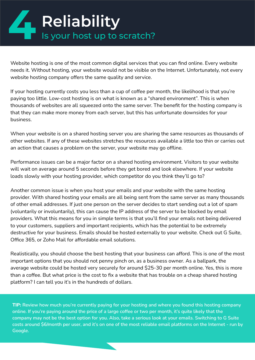# **All Reliability**<br> **18 Is your host up to scratch?**

Website hosting is one of the most common digital services that you can find online. Every website needs it. Without hosting, your website would not be visible on the Internet. Unfortunately, not every website hosting company offers the same quality and service.

If your hosting currently costs you less than a cup of coffee per month, the likelihood is that you're paying too little. Low-cost hosting is on what is known as a "shared environment". This is when thousands of websites are all squeezed onto the same server. The benefit for the hosting company is that they can make more money from each server, but this has unfortunate downsides for your business.

When your website is on a shared hosting server you are sharing the same resources as thousands of other websites. If any of these websites stretches the resources available a little too thin or carries out an action that causes a problem on the server, your website may go offline.

Performance issues can be a major factor on a shared hosting environment. Visitors to your website will wait on average around 5 seconds before they get bored and look elsewhere. If your website loads slowly with your hosting provider, which competitor do you think they'll go to?

Another common issue is when you host your emails and your website with the same hosting provider. With shared hosting your emails are all being sent from the same server as many thousands of other email addresses. If just one person on the server decides to start sending out a lot of spam (voluntarily or involuntarily), this can cause the IP address of the server to be blocked by email providers. What this means for you in simple terms is that you'll find your emails not being delivered to your customers, suppliers and important recipients, which has the potential to be extremely destructive for your business. Emails should be hosted externally to your website. Check out G Suite, Office 365, or Zoho Mail for affordable email solutions.

Realistically, you should choose the best hosting that your business can afford. This is one of the most important options that you should not penny pinch on, as a business owner. As a ballpark, the average website could be hosted very securely for around \$25-30 per month online. Yes, this is more than a coffee. But what price is the cost to fix a website that has trouble on a cheap shared hosting platform? I can tell you it's in the hundreds of dollars.

**TIP: Review how much you're currently paying for your hosting and where you found this hosting company online. If you're paying around the price of a large coffee or two per month, it's quite likely that the company may not be the best option for you. Also, take a serious look at your emails. Switching to G Suite costs around \$6/month per user, and it's on one of the most reliable email platforms on the Internet - run by Google.**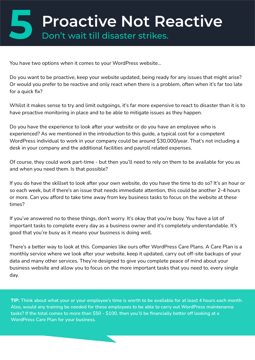You have two options when it comes to your WordPress website…

Do you want to be proactive, keep your website updated, being ready for any issues that might arise? Or would you prefer to be reactive and only react when there is a problem, often when it's far too late for a quick fix?

Whilst it makes sense to try and limit outgoings, it's far more expensive to react to disaster than it is to have proactive monitoring in place and to be able to mitigate issues as they happen.

Do you have the experience to look after your website or do you have an employee who is experienced? As we mentioned in the introduction to this guide, a typical cost for a competent WordPress individual to work in your company could be around \$30,000/year. That's not including a desk in your company and the additional facilities and payroll related expenses.

Of course, they could work part-time - but then you'll need to rely on them to be available for you as and when you need them. Is that possible?

If you do have the skillset to look after your own website, do you have the time to do so? It's an hour or so each week, but if there's an issue that needs immediate attention, this could be another 2-4 hours or more. Can you afford to take time away from key business tasks to focus on the website at these times?

If you've answered no to these things, don't worry. It's okay that you're busy. You have a lot of important tasks to complete every day as a business owner and it's completely understandable. It's good that you're busy as it means your business is doing well.

There's a better way to look at this. Companies like ours offer WordPress Care Plans. A Care Plan is a monthly service where we look after your website, keep it updated, carry out off-site backups of your data and many other services. They're designed to give you complete peace of mind about your business website and allow you to focus on the more important tasks that you need to, every single day.

**TIP: Think about what your or your employee's time is worth to be available for at least 4 hours each month. Also, would any training be needed for these employees to be able to carry out WordPress maintenance tasks? If the total comes to more than \$50 - \$100, then you'll be financially better off looking at a WordPress Care Plan for your business.**